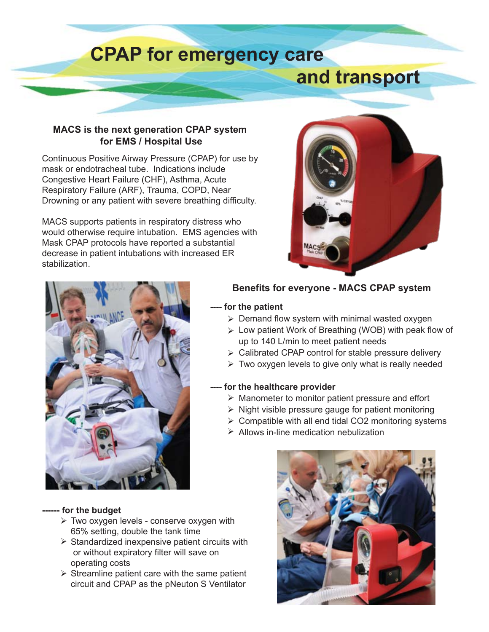# **CPAP for emergency care and transport**

### **MACS is the next generation CPAP system for EMS / Hospital Use**

Continuous Positive Airway Pressure (CPAP) for use by mask or endotracheal tube. Indications include Congestive Heart Failure (CHF), Asthma, Acute Respiratory Failure (ARF), Trauma, COPD, Near Drowning or any patient with severe breathing difficulty.

MACS supports patients in respiratory distress who would otherwise require intubation. EMS agencies with Mask CPAP protocols have reported a substantial decrease in patient intubations with increased ER stabilization.





### **Benefits for everyone - MACS CPAP system**

### **---- for the patient**

- $\triangleright$  Demand flow system with minimal wasted oxygen
- Low patient Work of Breathing (WOB) with peak flow of up to 140 L/min to meet patient needs
- Calibrated CPAP control for stable pressure delivery
- $\triangleright$  Two oxygen levels to give only what is really needed

### **---- for the healthcare provider**

- $\triangleright$  Manometer to monitor patient pressure and effort
- $\triangleright$  Night visible pressure gauge for patient monitoring
- $\triangleright$  Compatible with all end tidal CO2 monitoring systems
- $\triangleright$  Allows in-line medication nebulization



### **------ for the budget**

- Two oxygen levels conserve oxygen with 65% setting, double the tank time
- $\triangleright$  Standardized inexpensive patient circuits with or without expiratory filter will save on operating costs
- $\triangleright$  Streamline patient care with the same patient circuit and CPAP as the pNeuton S Ventilator